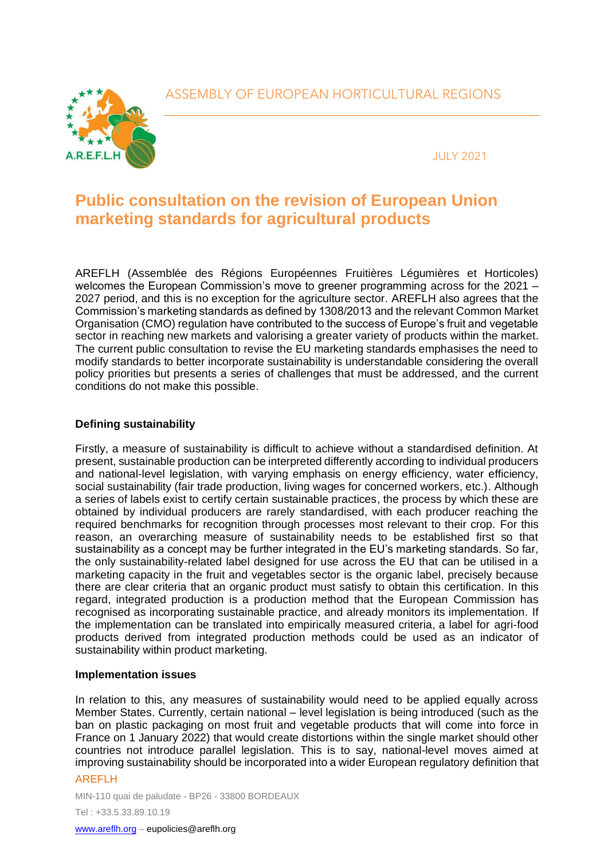## ASSEMBLY OF EUROPEAN HORTICULTURAL REGIONS



JULY 2021

# **Public consultation on the revision of European Union marketing standards for agricultural products**

AREFLH (Assemblée des Régions Européennes Fruitières Légumières et Horticoles) welcomes the European Commission's move to greener programming across for the 2021 – 2027 period, and this is no exception for the agriculture sector. AREFLH also agrees that the Commission's marketing standards as defined by 1308/2013 and the relevant Common Market Organisation (CMO) regulation have contributed to the success of Europe's fruit and vegetable sector in reaching new markets and valorising a greater variety of products within the market. The current public consultation to revise the EU marketing standards emphasises the need to modify standards to better incorporate sustainability is understandable considering the overall policy priorities but presents a series of challenges that must be addressed, and the current conditions do not make this possible.

### **Defining sustainability**

Firstly, a measure of sustainability is difficult to achieve without a standardised definition. At present, sustainable production can be interpreted differently according to individual producers and national-level legislation, with varying emphasis on energy efficiency, water efficiency, social sustainability (fair trade production, living wages for concerned workers, etc.). Although a series of labels exist to certify certain sustainable practices, the process by which these are obtained by individual producers are rarely standardised, with each producer reaching the required benchmarks for recognition through processes most relevant to their crop. For this reason, an overarching measure of sustainability needs to be established first so that sustainability as a concept may be further integrated in the EU's marketing standards. So far, the only sustainability-related label designed for use across the EU that can be utilised in a marketing capacity in the fruit and vegetables sector is the organic label, precisely because there are clear criteria that an organic product must satisfy to obtain this certification. In this regard, integrated production is a production method that the European Commission has recognised as incorporating sustainable practice, and already monitors its implementation. If the implementation can be translated into empirically measured criteria, a label for agri-food products derived from integrated production methods could be used as an indicator of sustainability within product marketing.

#### **Implementation issues**

In relation to this, any measures of sustainability would need to be applied equally across Member States. Currently, certain national – level legislation is being introduced (such as the ban on plastic packaging on most fruit and vegetable products that will come into force in France on 1 January 2022) that would create distortions within the single market should other countries not introduce parallel legislation. This is to say, national-level moves aimed at improving sustainability should be incorporated into a wider European regulatory definition that

#### AREFLH

MIN-110 quai de paludate - BP26 - 33800 BORDEAUX Tel : +33.5.33.89.10.19

[www.areflh.org](http://www.areflh.org/) – eupolicies@areflh.org